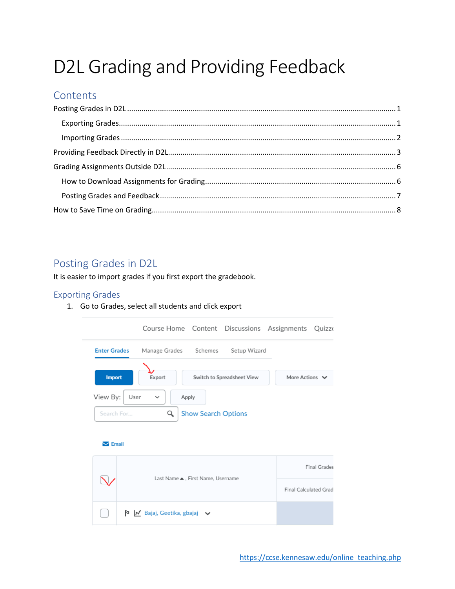# D2L Grading and Providing Feedback

## Contents

## <span id="page-0-0"></span>Posting Grades in D2L

It is easier to import grades if you first export the gradebook.

## <span id="page-0-1"></span>**Exporting Grades**

1. Go to Grades, select all students and click export

|                             | Course Home Content Discussions Assignments Quizze           |                       |
|-----------------------------|--------------------------------------------------------------|-----------------------|
| <b>Enter Grades</b>         | Manage Grades Schemes<br>Setup Wizard                        |                       |
| <b>Import</b>               | Export<br>Switch to Spreadsheet View                         | More Actions $\vee$   |
| View By:<br>User            | Apply<br>◡                                                   |                       |
| Search For                  | Q<br><b>Show Search Options</b>                              |                       |
| $\blacktriangleright$ Email |                                                              |                       |
|                             | Last Name ▲, First Name, Username                            | <b>Final Grades</b>   |
|                             |                                                              | Final Calculated Grad |
|                             | $\triangleright$   M Bajaj, Geetika, gbajaj $\triangleright$ |                       |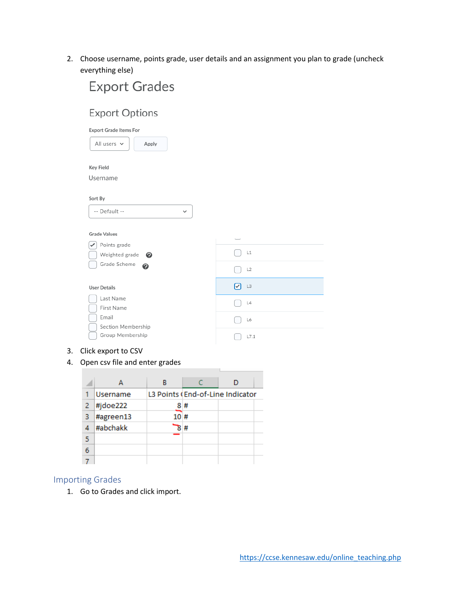2. Choose username, points grade, user details and an assignment you plan to grade (uncheck everything else)

| <b>Export Grades</b>                   |         |
|----------------------------------------|---------|
| <b>Export Options</b>                  |         |
| <b>Export Grade Items For</b>          |         |
| All users $\vee$<br>Apply              |         |
| Key Field                              |         |
| Username                               |         |
| Sort By                                |         |
| -- Default --<br>$\check{ }$           |         |
|                                        |         |
| <b>Grade Values</b>                    |         |
| Points grade                           |         |
| Weighted grade<br>െ                    | L1      |
| Grade Scheme<br>◉                      | L2      |
| <b>User Details</b>                    | 罓<br>L3 |
| Last Name                              | L4      |
| First Name                             |         |
| Email                                  | L6      |
| Section Membership<br>Group Membership | L7.1    |
|                                        |         |

3. Click export to CSV

### 4. Open csv file and enter grades

|   | Open csv file and enter grades |     |    |                                  |
|---|--------------------------------|-----|----|----------------------------------|
|   | А                              | в   |    |                                  |
|   | <b>Username</b>                |     |    | L3 Points (End-of-Line Indicator |
| 2 | #jdoe222                       |     | 8# |                                  |
| 3 | #agreen13                      | 10# |    |                                  |
|   | #abchakk                       |     | #  |                                  |
| 5 |                                |     |    |                                  |
| 6 |                                |     |    |                                  |
|   |                                |     |    |                                  |

### <span id="page-1-0"></span>Importing Grades

**COL** 

1. Go to Grades and click import.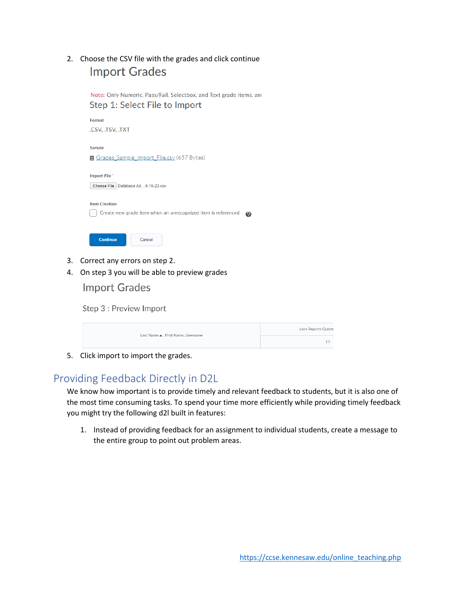## 2. Choose the CSV file with the grades and click continue **Import Grades**

Note: Only Numeric, Pass/Fail, Selectbox, and Text grade items, and

Step 1: Select File to Import Format .CSV, .TSV, .TXT Sample Grades Sample Import File.csv (657 Bytes) Import File\* Choose File Database Ad...4-18-23.csv **Item Creation** Create new grade item when an unrecognized item is referenced @ **Continue** Cancel

- 3. Correct any errors on step 2.
- 4. On step 3 you will be able to preview grades

**Import Grades** 

Step 3 : Preview Import

|  | Last Name ▲, First Name, Username | Labs Reports Quizze |
|--|-----------------------------------|---------------------|
|  |                                   |                     |
|  |                                   |                     |

5. Click import to import the grades.

## <span id="page-2-0"></span>Providing Feedback Directly in D2L

We know how important is to provide timely and relevant feedback to students, but it is also one of the most time consuming tasks. To spend your time more efficiently while providing timely feedback you might try the following d2l built in features:

1. Instead of providing feedback for an assignment to individual students, create a message to the entire group to point out problem areas.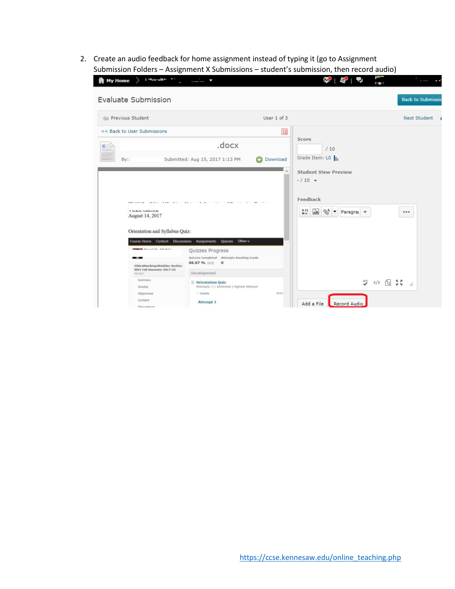2. Create an audio feedback for home assignment instead of typing it (go to Assignment Submission Folders – Assignment X Submissions – student's submission, then record audio)

| <b>Ny Home</b><br>: Shiralls 11                                                                |                                                                                           |             |                                                                          | r w                               |
|------------------------------------------------------------------------------------------------|-------------------------------------------------------------------------------------------|-------------|--------------------------------------------------------------------------|-----------------------------------|
| <b>Evaluate Submission</b>                                                                     |                                                                                           |             |                                                                          | <b>Back to Submissio</b>          |
| Previous Student                                                                               |                                                                                           | User 1 of 3 |                                                                          | Next Student 1                    |
| << Back to User Submissions                                                                    |                                                                                           | ⊠           |                                                                          |                                   |
|                                                                                                | .docx                                                                                     |             | <b>Score</b><br>/10                                                      |                                   |
| By:                                                                                            | Submitted: Aug 15, 2017 1:13 PM                                                           | Download    | Grade Item: LO                                                           |                                   |
|                                                                                                |                                                                                           |             | <b>Student View Preview</b><br>$- / 10 =$                                |                                   |
| <b>KID COLOR</b><br>$37.76 + 1.7$<br>$\rightarrow$<br><b>VIUNIU MAILIUM</b><br>August 14, 2017 | $\cdots$<br>$\sim$<br><b>CONTRACT</b><br>$\sim$                                           |             | <b>Feedback</b><br>븺<br>∸<br>$\mathscr{D}^+_\bullet$<br>∣▼<br>Paragray v | 0.0.0                             |
| Orientation and Syllabus Quiz:                                                                 | Course Home Content Discussions Assignments Quizzes Other v                               |             |                                                                          |                                   |
| manufate attaining<br><b>EthicalHacking:NtwkSec Section</b>                                    | Quizzes Progress<br>Quizzes Completed Attempts Awaiting Grade<br>66.67 % (2/3)<br>$\circ$ |             |                                                                          |                                   |
| W01 Fall Semester 2017 CO<br>Fall 2017                                                         | Uncategorized                                                                             |             |                                                                          |                                   |
| Summary<br>Grades                                                                              | <b>2</b> Orientation Quiz<br>Attempts: 1 / Unlimited   Highest Attempt                    |             | $\overset{\text{abc}}{ }$                                                | Q 24<br>$\langle \rangle$<br>اللب |
| Objectives<br>Content<br><b>Discussions</b>                                                    | $\vee$ Details<br><b>Attempt 1</b>                                                        | End I       | Add a File<br>Record Audio                                               |                                   |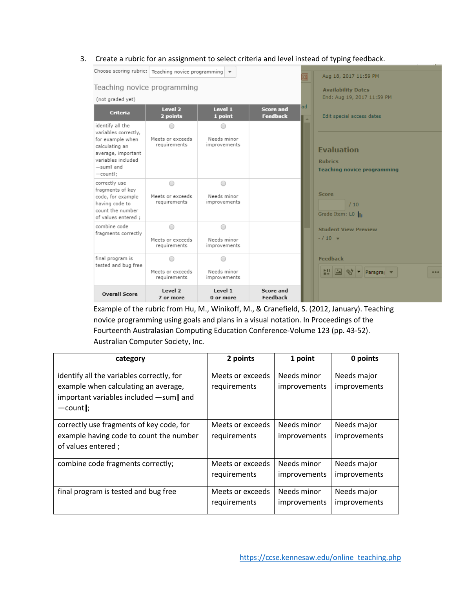3. Create a rubric for an assignment to select criteria and level instead of typing feedback.

| Choose scoring rubric: Teaching novice programming v                                                                                                |                                       |                                           |                                     |         | Aug 18, 2017 11:59 PM                                                     |
|-----------------------------------------------------------------------------------------------------------------------------------------------------|---------------------------------------|-------------------------------------------|-------------------------------------|---------|---------------------------------------------------------------------------|
| Teaching novice programming                                                                                                                         |                                       |                                           |                                     |         | <b>Availability Dates</b>                                                 |
| (not graded yet)                                                                                                                                    |                                       |                                           |                                     |         | End: Aug 19, 2017 11:59 PM                                                |
| <b>Criteria</b>                                                                                                                                     | Level 2<br>2 points                   | Level 1<br>1 point                        | <b>Score and</b><br><b>Feedback</b> | ad<br>A | Edit special access dates                                                 |
| identify all the<br>variables correctly,<br>for example when<br>calculating an<br>average, important<br>variables included<br>-suml and<br>-countl; | ∩<br>Meets or exceeds<br>requirements | ∩<br>Needs minor<br>improvements          |                                     |         | <b>Evaluation</b><br><b>Rubrics</b><br><b>Teaching novice programming</b> |
| correctly use<br>fragments of key<br>code, for example<br>having code to<br>count the number<br>of values entered ;                                 | ∩<br>Meets or exceeds<br>requirements | $\bigcirc$<br>Needs minor<br>improvements |                                     |         | <b>Score</b><br>/10<br>Grade Item: LO                                     |
| combine code<br>fragments correctly                                                                                                                 | 0<br>Meets or exceeds<br>requirements | ∩<br>Needs minor<br>improvements          |                                     |         | <b>Student View Preview</b><br>$- / 10 =$                                 |
| final program is<br>tested and bug free                                                                                                             | ∩<br>Meets or exceeds<br>requirements | ∩<br>Needs minor<br>improvements          |                                     |         | <b>Feedback</b><br>빏 A V Paragra v                                        |
| <b>Overall Score</b>                                                                                                                                | Level 2<br>7 or more                  | Level 1<br>0 or more                      | Score and<br>Feedback               |         |                                                                           |

Example of the rubric from Hu, M., Winikoff, M., & Cranefield, S. (2012, January). Teaching novice programming using goals and plans in a visual notation. In Proceedings of the Fourteenth Australasian Computing Education Conference-Volume 123 (pp. 43-52). Australian Computer Society, Inc.

| category                                                                                                                                   | 2 points                         | 1 point                     | 0 points                    |
|--------------------------------------------------------------------------------------------------------------------------------------------|----------------------------------|-----------------------------|-----------------------------|
| identify all the variables correctly, for<br>example when calculating an average,<br>important variables included -sum   and<br>$-count$ ; | Meets or exceeds<br>requirements | Needs minor<br>improvements | Needs major<br>improvements |
| correctly use fragments of key code, for<br>example having code to count the number<br>of values entered;                                  | Meets or exceeds<br>requirements | Needs minor<br>improvements | Needs major<br>improvements |
| combine code fragments correctly;                                                                                                          | Meets or exceeds<br>requirements | Needs minor<br>improvements | Needs major<br>improvements |
| final program is tested and bug free                                                                                                       | Meets or exceeds<br>requirements | Needs minor<br>improvements | Needs major<br>improvements |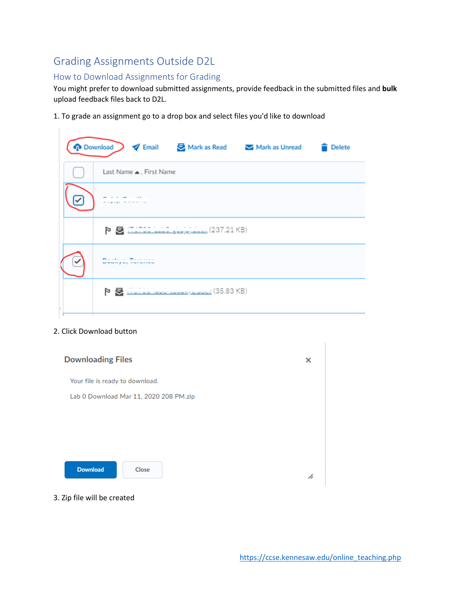## <span id="page-5-0"></span>Grading Assignments Outside D2L

### <span id="page-5-1"></span>How to Download Assignments for Grading

You might prefer to download submitted assignments, provide feedback in the submitted files and **bulk** upload feedback files back to D2L.

1. To grade an assignment go to a drop box and select files you'd like to download

| <b>p</b> Download<br>Email S Mark as Read Mark as Unread<br><b>Delete</b> |
|---------------------------------------------------------------------------|
| Last Name ▲, First Name                                                   |
|                                                                           |
| や 昼 :TUTOC LUG المحتمل العاملية (237.21 KB)                               |
| $\sim$<br><b>MARINE ME THE MERGE</b>                                      |
|                                                                           |

#### 2. Click Download button

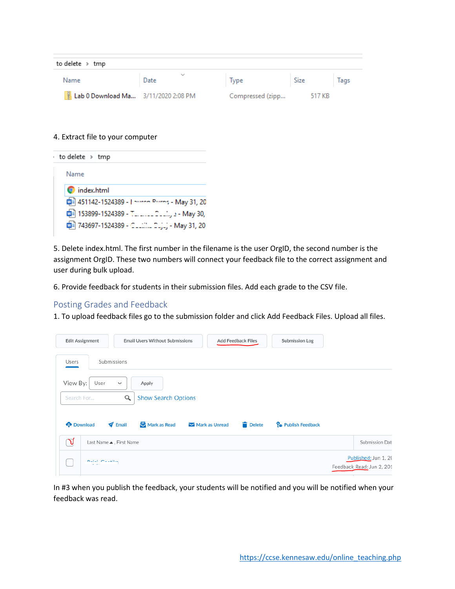| to delete > tmp                     |                      |                  |        |      |  |  |  |  |
|-------------------------------------|----------------------|------------------|--------|------|--|--|--|--|
| Name                                | $\checkmark$<br>Date | Type             | Size   | Tags |  |  |  |  |
| Lab 0 Download Ma 3/11/2020 2:08 PM |                      | Compressed (zipp | 517 KB |      |  |  |  |  |

4. Extract file to your computer

| to delete $\rightarrow$ tmp                       |
|---------------------------------------------------|
| Name                                              |
| ndex.html                                         |
| 0 451142-1524389 - International May 31, 20       |
| <b>四</b> 153899-1524389 - T  2 , . - May 30,      |
| mail 743697-1524389 - CLLIIIIL DLjLj - May 31, 20 |

5. Delete index.html. The first number in the filename is the user OrgID, the second number is the assignment OrgID. These two numbers will connect your feedback file to the correct assignment and user during bulk upload.

6. Provide feedback for students in their submission files. Add each grade to the CSV file.

#### <span id="page-6-0"></span>Posting Grades and Feedback

1. To upload feedback files go to the submission folder and click Add Feedback Files. Upload all files.

|                        | <b>Edit Assignment</b>  | <b>Email Users Without Submissions</b>      |                            | <b>Add Feedback Files</b> | Submission Log                  |                                                   |
|------------------------|-------------------------|---------------------------------------------|----------------------------|---------------------------|---------------------------------|---------------------------------------------------|
| Users                  | Submissions             |                                             |                            |                           |                                 |                                                   |
| View By:<br>Search For | User                    | Apply<br>$\checkmark$<br>Q                  | <b>Show Search Options</b> |                           |                                 |                                                   |
|                        | <b>Download</b>         | Mark as Read<br>$\blacktriangleright$ Email | Mark as Unread             | Delete                    | P <sub>o</sub> Publish Feedback |                                                   |
| √                      | Last Name ▲, First Name |                                             |                            |                           |                                 | Submission Dat                                    |
|                        | Batal Casellin          |                                             |                            |                           |                                 | Published: Jun 1, 20<br>Feedback Read: Jun 2, 201 |

In #3 when you publish the feedback, your students will be notified and you will be notified when your feedback was read.